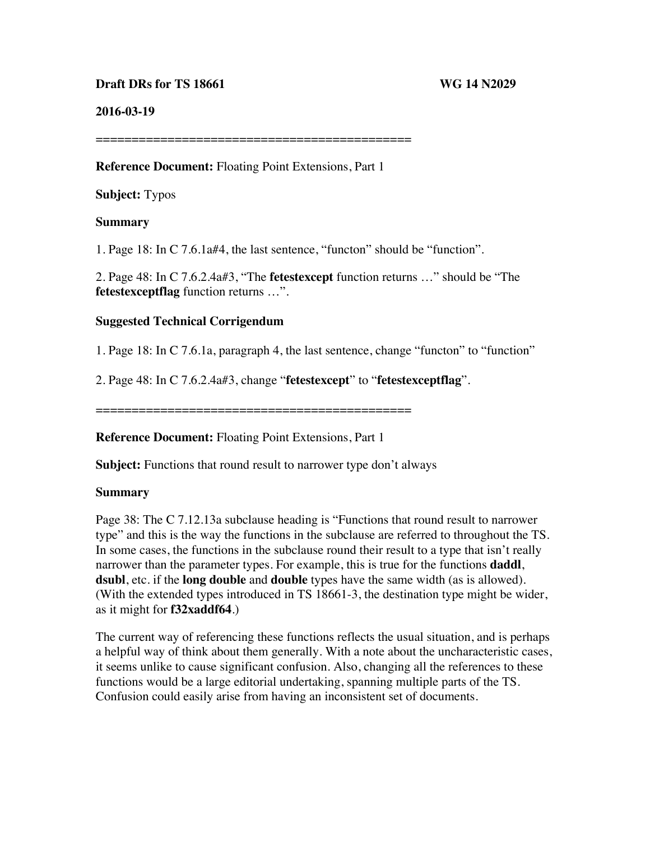### **Draft DRs for TS 18661 WG 14 N2029**

#### **2016-03-19**

============================================

#### **Reference Document:** Floating Point Extensions, Part 1

### **Subject:** Typos

# **Summary**

1. Page 18: In C 7.6.1a#4, the last sentence, "functon" should be "function".

2. Page 48: In C 7.6.2.4a#3, "The **fetestexcept** function returns …" should be "The **fetestexceptflag** function returns …".

#### **Suggested Technical Corrigendum**

1. Page 18: In C 7.6.1a, paragraph 4, the last sentence, change "functon" to "function"

2. Page 48: In C 7.6.2.4a#3, change "**fetestexcept**" to "**fetestexceptflag**".

============================================

#### **Reference Document:** Floating Point Extensions, Part 1

**Subject:** Functions that round result to narrower type don't always

#### **Summary**

Page 38: The C 7.12.13a subclause heading is "Functions that round result to narrower type" and this is the way the functions in the subclause are referred to throughout the TS. In some cases, the functions in the subclause round their result to a type that isn't really narrower than the parameter types. For example, this is true for the functions **daddl**, **dsubl**, etc. if the **long double** and **double** types have the same width (as is allowed). (With the extended types introduced in TS 18661-3, the destination type might be wider, as it might for **f32xaddf64**.)

The current way of referencing these functions reflects the usual situation, and is perhaps a helpful way of think about them generally. With a note about the uncharacteristic cases, it seems unlike to cause significant confusion. Also, changing all the references to these functions would be a large editorial undertaking, spanning multiple parts of the TS. Confusion could easily arise from having an inconsistent set of documents.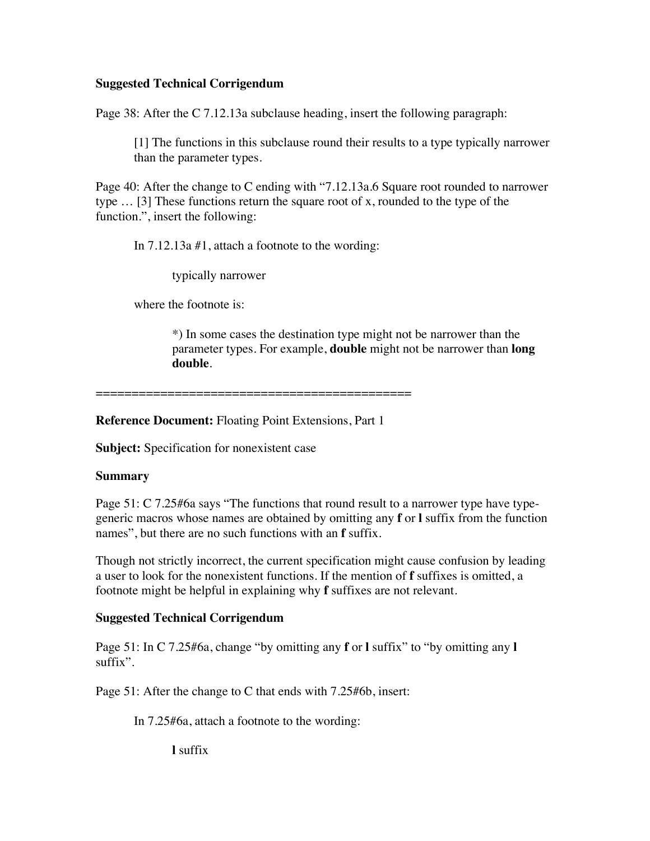### **Suggested Technical Corrigendum**

Page 38: After the C 7.12.13a subclause heading, insert the following paragraph:

[1] The functions in this subclause round their results to a type typically narrower than the parameter types.

Page 40: After the change to C ending with "7.12.13a.6 Square root rounded to narrower type … [3] These functions return the square root of x, rounded to the type of the function.", insert the following:

In 7.12.13a #1, attach a footnote to the wording:

typically narrower

where the footnote is:

\*) In some cases the destination type might not be narrower than the parameter types. For example, **double** might not be narrower than **long double**.

============================================

**Reference Document:** Floating Point Extensions, Part 1

**Subject:** Specification for nonexistent case

# **Summary**

Page 51: C 7.25#6a says "The functions that round result to a narrower type have typegeneric macros whose names are obtained by omitting any **f** or **l** suffix from the function names", but there are no such functions with an **f** suffix.

Though not strictly incorrect, the current specification might cause confusion by leading a user to look for the nonexistent functions. If the mention of **f** suffixes is omitted, a footnote might be helpful in explaining why **f** suffixes are not relevant.

# **Suggested Technical Corrigendum**

Page 51: In C 7.25#6a, change "by omitting any **f** or **l** suffix" to "by omitting any **l** suffix".

Page 51: After the change to C that ends with 7.25#6b, insert:

In 7.25#6a, attach a footnote to the wording:

**l** suffix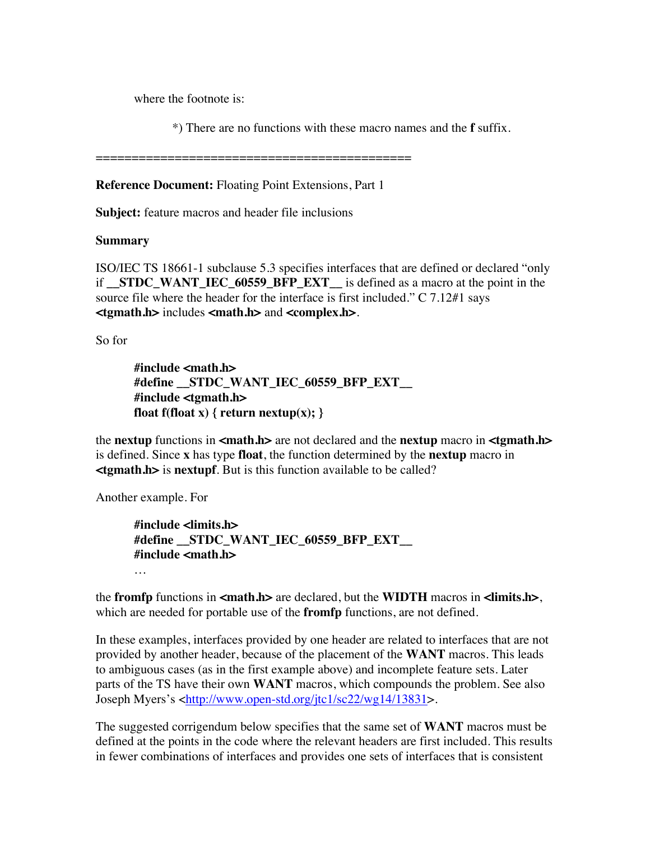where the footnote is:

\*) There are no functions with these macro names and the **f** suffix.

============================================

**Reference Document:** Floating Point Extensions, Part 1

**Subject:** feature macros and header file inclusions

#### **Summary**

ISO/IEC TS 18661-1 subclause 5.3 specifies interfaces that are defined or declared "only if **\_\_STDC\_WANT\_IEC\_60559\_BFP\_EXT\_\_** is defined as a macro at the point in the source file where the header for the interface is first included." C 7.12#1 says **<tgmath.h>** includes **<math.h>** and **<complex.h>**.

So for

**#include <math.h> #define \_\_STDC\_WANT\_IEC\_60559\_BFP\_EXT\_\_ #include <tgmath.h> float f(float x) { return nextup(x); }**

the **nextup** functions in **<math.h>** are not declared and the **nextup** macro in **<tgmath.h>** is defined. Since **x** has type **float**, the function determined by the **nextup** macro in **<tgmath.h>** is **nextupf**. But is this function available to be called?

Another example. For

**#include <limits.h> #define \_\_STDC\_WANT\_IEC\_60559\_BFP\_EXT\_\_ #include <math.h>**

the **fromfp** functions in **<math.h>** are declared, but the **WIDTH** macros in **<limits.h>**, which are needed for portable use of the **fromfp** functions, are not defined.

In these examples, interfaces provided by one header are related to interfaces that are not provided by another header, because of the placement of the **WANT** macros. This leads to ambiguous cases (as in the first example above) and incomplete feature sets. Later parts of the TS have their own **WANT** macros, which compounds the problem. See also Joseph Myers's <http://www.open-std.org/jtc1/sc22/wg14/13831>.

The suggested corrigendum below specifies that the same set of **WANT** macros must be defined at the points in the code where the relevant headers are first included. This results in fewer combinations of interfaces and provides one sets of interfaces that is consistent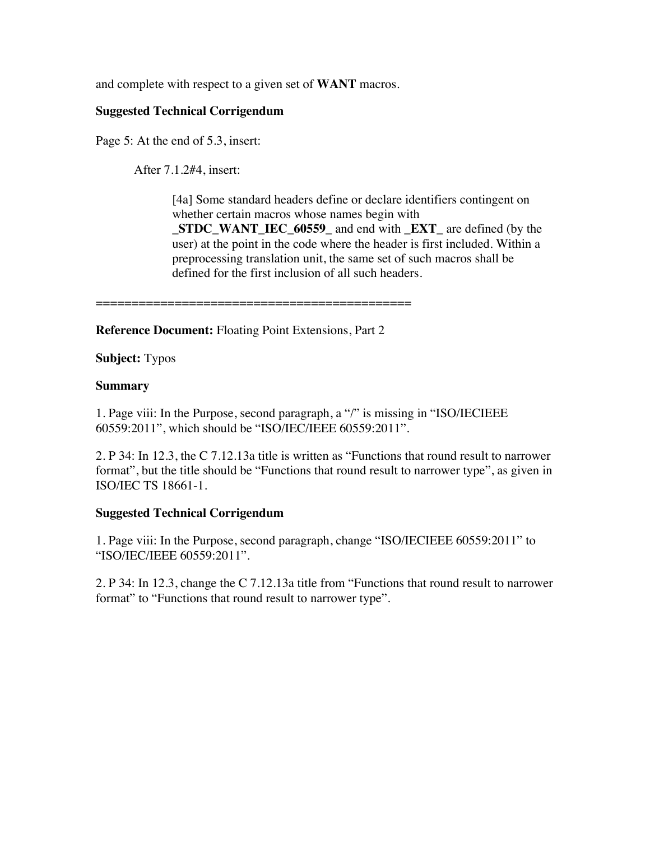and complete with respect to a given set of **WANT** macros.

# **Suggested Technical Corrigendum**

Page 5: At the end of 5.3, insert:

After 7.1.2#4, insert:

[4a] Some standard headers define or declare identifiers contingent on whether certain macros whose names begin with **\_STDC\_WANT\_IEC\_60559\_** and end with **\_EXT\_** are defined (by the user) at the point in the code where the header is first included. Within a preprocessing translation unit, the same set of such macros shall be defined for the first inclusion of all such headers.

============================================

**Reference Document:** Floating Point Extensions, Part 2

**Subject:** Typos

#### **Summary**

1. Page viii: In the Purpose, second paragraph, a "/" is missing in "ISO/IECIEEE 60559:2011", which should be "ISO/IEC/IEEE 60559:2011".

2. P 34: In 12.3, the C 7.12.13a title is written as "Functions that round result to narrower format", but the title should be "Functions that round result to narrower type", as given in ISO/IEC TS 18661-1.

# **Suggested Technical Corrigendum**

1. Page viii: In the Purpose, second paragraph, change "ISO/IECIEEE 60559:2011" to "ISO/IEC/IEEE 60559:2011".

2. P 34: In 12.3, change the C 7.12.13a title from "Functions that round result to narrower format" to "Functions that round result to narrower type".